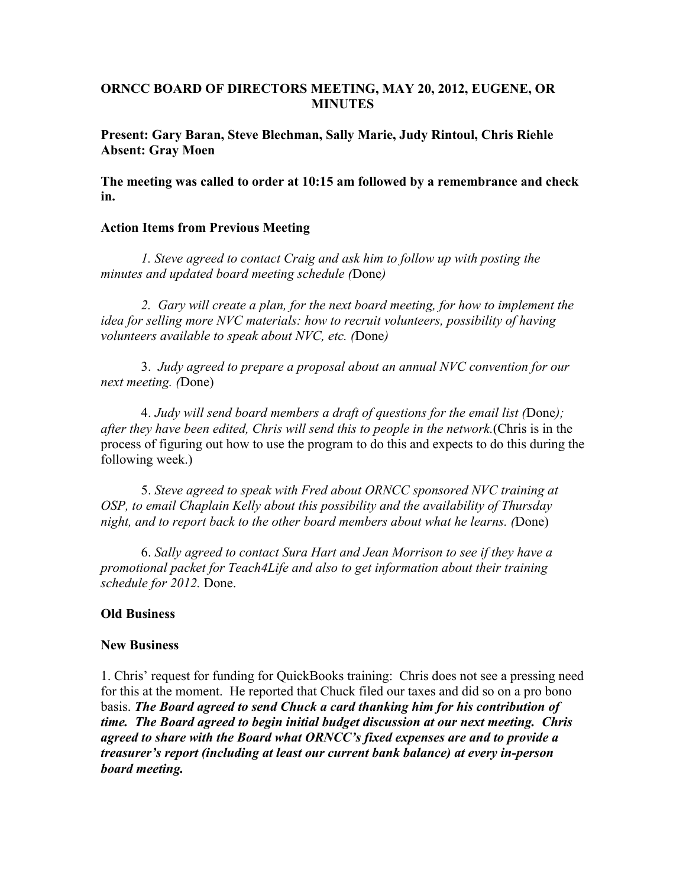## **ORNCC BOARD OF DIRECTORS MEETING, MAY 20, 2012, EUGENE, OR MINUTES**

**Present: Gary Baran, Steve Blechman, Sally Marie, Judy Rintoul, Chris Riehle Absent: Gray Moen**

**The meeting was called to order at 10:15 am followed by a remembrance and check in.**

## **Action Items from Previous Meeting**

*1. Steve agreed to contact Craig and ask him to follow up with posting the minutes and updated board meeting schedule (*Done*)*

*2. Gary will create a plan, for the next board meeting, for how to implement the idea for selling more NVC materials: how to recruit volunteers, possibility of having volunteers available to speak about NVC, etc. (*Done*)*

3. *Judy agreed to prepare a proposal about an annual NVC convention for our next meeting. (*Done)

4. *Judy will send board members a draft of questions for the email list (*Done*); after they have been edited, Chris will send this to people in the network.*(Chris is in the process of figuring out how to use the program to do this and expects to do this during the following week.)

5. *Steve agreed to speak with Fred about ORNCC sponsored NVC training at OSP, to email Chaplain Kelly about this possibility and the availability of Thursday night, and to report back to the other board members about what he learns. (*Done)

6. *Sally agreed to contact Sura Hart and Jean Morrison to see if they have a promotional packet for Teach4Life and also to get information about their training schedule for 2012.* Done.

## **Old Business**

## **New Business**

1. Chris' request for funding for QuickBooks training: Chris does not see a pressing need for this at the moment. He reported that Chuck filed our taxes and did so on a pro bono basis. *The Board agreed to send Chuck a card thanking him for his contribution of time. The Board agreed to begin initial budget discussion at our next meeting. Chris agreed to share with the Board what ORNCC's fixed expenses are and to provide a treasurer's report (including at least our current bank balance) at every in-person board meeting.*